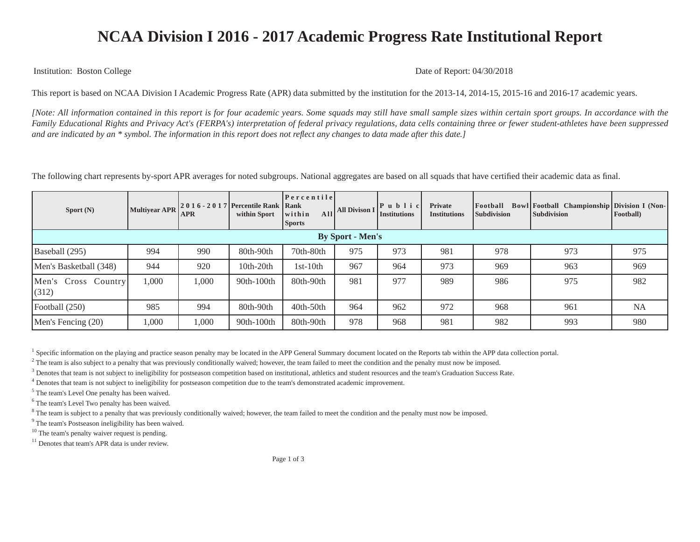## **NCAA Division I 2016 - 2017 Academic Progress Rate Institutional Report**

Institution: Boston College Date of Report: 04/30/2018

This report is based on NCAA Division I Academic Progress Rate (APR) data submitted by the institution for the 2013-14, 2014-15, 2015-16 and 2016-17 academic years.

*[Note: All information contained in this report is for four academic years. Some squads may still have small sample sizes within certain sport groups. In accordance with the Family Educational Rights and Privacy Act's (FERPA's) interpretation of federal privacy regulations, data cells containing three or fewer student-athletes have been suppressed and are indicated by an \* symbol. The information in this report does not reflect any changes to data made after this date.]*

The following chart represents by-sport APR averages for noted subgroups. National aggregates are based on all squads that have certified their academic data as final.

| Sport $(N)$                  | <b>Multiyear APR</b> | <b>APR</b> | $\left  2016 - 2017 \right $ Percentile Rank Rank<br>within Sport | $ P$ ercentile<br>All<br>within<br><b>Sports</b> | <b>All Divison 1</b> | P u b l i c <br><b>Institutions</b> | <b>Private</b><br><b>Institutions</b> | Football<br><b>Subdivision</b> | Bowl Football Championship Division I (Non-<br>Subdivision | Football) |
|------------------------------|----------------------|------------|-------------------------------------------------------------------|--------------------------------------------------|----------------------|-------------------------------------|---------------------------------------|--------------------------------|------------------------------------------------------------|-----------|
| <b>By Sport - Men's</b>      |                      |            |                                                                   |                                                  |                      |                                     |                                       |                                |                                                            |           |
| Baseball (295)               | 994                  | 990        | 80th-90th                                                         | 70th-80th                                        | 975                  | 973                                 | 981                                   | 978                            | 973                                                        | 975       |
| Men's Basketball (348)       | 944                  | 920        | 10th-20th                                                         | $1st-10th$                                       | 967                  | 964                                 | 973                                   | 969                            | 963                                                        | 969       |
| Men's Cross Country<br>(312) | 1,000                | 1,000      | 90th-100th                                                        | 80th-90th                                        | 981                  | 977                                 | 989                                   | 986                            | 975                                                        | 982       |
| Football (250)               | 985                  | 994        | 80th-90th                                                         | $40th-50th$                                      | 964                  | 962                                 | 972                                   | 968                            | 961                                                        | <b>NA</b> |
| Men's Fencing (20)           | 1,000                | 1,000      | 90th-100th                                                        | 80th-90th                                        | 978                  | 968                                 | 981                                   | 982                            | 993                                                        | 980       |

<sup>1</sup> Specific information on the playing and practice season penalty may be located in the APP General Summary document located on the Reports tab within the APP data collection portal.

 $^2$  The team is also subject to a penalty that was previously conditionally waived; however, the team failed to meet the condition and the penalty must now be imposed.

<sup>3</sup> Denotes that team is not subject to ineligibility for postseason competition based on institutional, athletics and student resources and the team's Graduation Success Rate.

<sup>4</sup> Denotes that team is not subject to ineligibility for postseason competition due to the team's demonstrated academic improvement.

<sup>5</sup> The team's Level One penalty has been waived.

<sup>6</sup> The team's Level Two penalty has been waived.

<sup>8</sup> The team is subject to a penalty that was previously conditionally waived; however, the team failed to meet the condition and the penalty must now be imposed.

<sup>9</sup> The team's Postseason ineligibility has been waived.

<sup>10</sup> The team's penalty waiver request is pending.

<sup>11</sup> Denotes that team's APR data is under review.

Page 1 of 3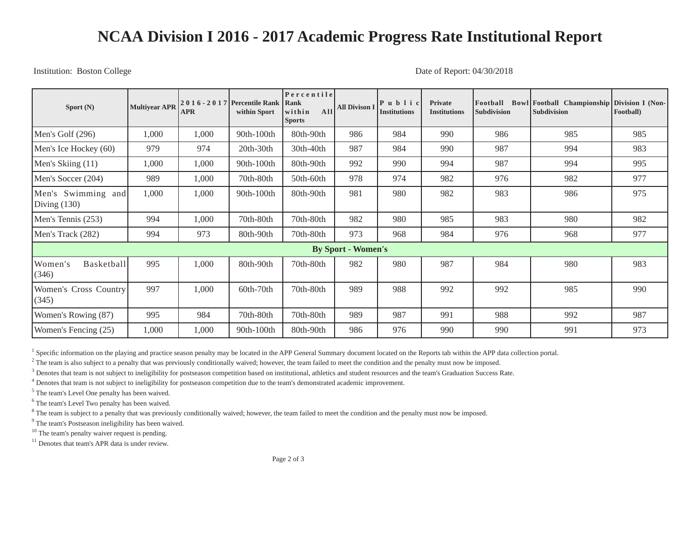## **NCAA Division I 2016 - 2017 Academic Progress Rate Institutional Report**

Institution: Boston College Date of Report: 04/30/2018

| Sport $(N)$                          | <b>Multiyear APR</b> | <b>APR</b> | 2016 - 2017   Percentile Rank<br>within Sport | Percentile<br>Rank<br>A <sub>11</sub><br>within<br><b>Sports</b> | <b>All Divison I</b> | $ P u b  $ i c<br>Institutions | Private<br><b>Institutions</b> | Football<br><b>Subdivision</b> | Bowl Football Championship Division I (Non-<br><b>Subdivision</b> | Football) |
|--------------------------------------|----------------------|------------|-----------------------------------------------|------------------------------------------------------------------|----------------------|--------------------------------|--------------------------------|--------------------------------|-------------------------------------------------------------------|-----------|
| Men's Golf (296)                     | 1,000                | 1,000      | 90th-100th                                    | 80th-90th                                                        | 986                  | 984                            | 990                            | 986                            | 985                                                               | 985       |
| Men's Ice Hockey (60)                | 979                  | 974        | $20th-30th$                                   | 30th-40th                                                        | 987                  | 984                            | 990                            | 987                            | 994                                                               | 983       |
| Men's Skiing (11)                    | 1,000                | 1,000      | 90th-100th                                    | 80th-90th                                                        | 992                  | 990                            | 994                            | 987                            | 994                                                               | 995       |
| Men's Soccer (204)                   | 989                  | 1,000      | 70th-80th                                     | 50th-60th                                                        | 978                  | 974                            | 982                            | 976                            | 982                                                               | 977       |
| Men's Swimming and<br>Diving $(130)$ | 1,000                | 1,000      | 90th-100th                                    | 80th-90th                                                        | 981                  | 980                            | 982                            | 983                            | 986                                                               | 975       |
| Men's Tennis (253)                   | 994                  | 1,000      | 70th-80th                                     | 70th-80th                                                        | 982                  | 980                            | 985                            | 983                            | 980                                                               | 982       |
| Men's Track (282)                    | 994                  | 973        | 80th-90th                                     | 70th-80th                                                        | 973                  | 968                            | 984                            | 976                            | 968                                                               | 977       |
| <b>By Sport - Women's</b>            |                      |            |                                               |                                                                  |                      |                                |                                |                                |                                                                   |           |
| Basketball<br>Women's<br>(346)       | 995                  | 1,000      | 80th-90th                                     | 70th-80th                                                        | 982                  | 980                            | 987                            | 984                            | 980                                                               | 983       |
| Women's Cross Country<br>(345)       | 997                  | 1,000      | 60th-70th                                     | 70th-80th                                                        | 989                  | 988                            | 992                            | 992                            | 985                                                               | 990       |
| Women's Rowing (87)                  | 995                  | 984        | 70th-80th                                     | 70th-80th                                                        | 989                  | 987                            | 991                            | 988                            | 992                                                               | 987       |
| Women's Fencing (25)                 | 1,000                | 1,000      | 90th-100th                                    | 80th-90th                                                        | 986                  | 976                            | 990                            | 990                            | 991                                                               | 973       |

<sup>1</sup> Specific information on the playing and practice season penalty may be located in the APP General Summary document located on the Reports tab within the APP data collection portal.

 $^2$  The team is also subject to a penalty that was previously conditionally waived; however, the team failed to meet the condition and the penalty must now be imposed.

<sup>3</sup> Denotes that team is not subject to ineligibility for postseason competition based on institutional, athletics and student resources and the team's Graduation Success Rate.

<sup>4</sup> Denotes that team is not subject to ineligibility for postseason competition due to the team's demonstrated academic improvement.

<sup>5</sup> The team's Level One penalty has been waived.

<sup>6</sup> The team's Level Two penalty has been waived.

<sup>8</sup> The team is subject to a penalty that was previously conditionally waived; however, the team failed to meet the condition and the penalty must now be imposed.

<sup>9</sup> The team's Postseason ineligibility has been waived.

<sup>10</sup> The team's penalty waiver request is pending.

<sup>11</sup> Denotes that team's APR data is under review.